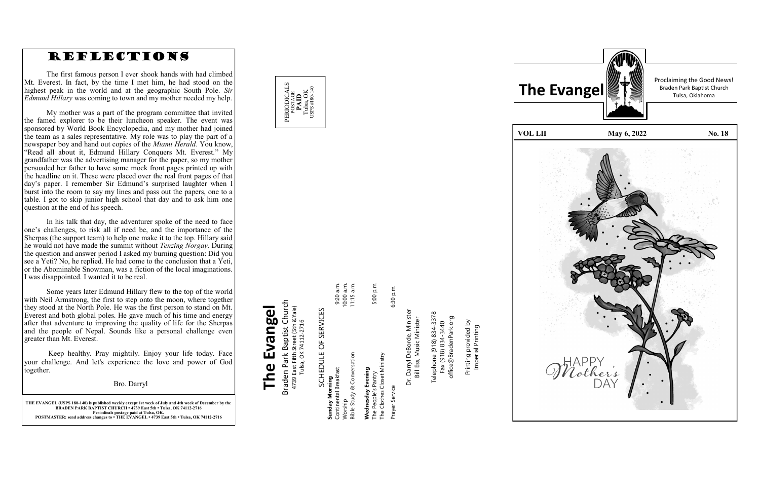**THE EVANGEL (USPS 180 -140) is published weekly except 1st week of July and 4th week of December by the BRADEN PARK BAPTIST CHURCH • 4739 East 5th • Tulsa, OK 74112 -2716 Periodicals postage paid at Tulsa, OK. POSTMASTER: send address changes to • THE EVANGEL • 4739 East 5th • Tulsa, OK 74112 -2716**

# Braden Park Baptist Church<br>4739 East Fifth Street (5th &Yale)<br>Tulsa, OK 74112-2716 Braden Park Baptist Church 4739 East Fifth Street (5th &Yale) Tulsa, OK 74112-2716

Prayer Service 6:30 p.m. The Clothes Closet Ministry Service Prayer

6:30 p.m.

Dr. Darryl DeBorde, Minister Darryl DeBorde, Minister Bill Ess, Music Minister Bill Ess, Music Minister  $Dr.$ 



**The Evangel**

The Evangel

Telephone (918) 834-3378<br>Fax (918) 834-3440 Telephone (918) 834-3378 office@BradenPark.org office@BradenPark.org Fax (918) 834-3440

rinting provided by<br>Imperial Printing Printing provided by Imperial Printing Printing

| SCHEDULE OF SERVICES        |            |
|-----------------------------|------------|
| Sunday Morning              |            |
| Continental Breakfast       | 9:20 a.m.  |
| Worship                     | 10:00 a.m. |
| Bible Study & Conversation  | 11:15 a.m. |
|                             |            |
| Wednesday Evening           |            |
| The People's Pantry         | 5:00 p.m.  |
| The Clothes Closet Ministry |            |

Proclaiming the Good News!

**VOL LII** May 6, 2022 No. 18



### REFLECTIONS

The first famous person I ever shook hands with had climbed Mt. Everest. In fact, by the time I met him, he had stood on the highest peak in the world and at the geographic South Pole. *Sir Edmund Hillary* was coming to town and my mother needed my help.

My mother was a part of the program committee that invited the famed explorer to be their luncheon speaker. The event was sponsored by World Book Encyclopedia, and my mother had joined the team as a sales representative. My role was to play the part of a newspaper boy and hand out copies of the *Miami Herald*. You know, "Read all about it, Edmund Hillary Conquers Mt. Everest." My grandfather was the advertising manager for the paper, so my mother persuaded her father to have some mock front pages printed up with the headline on it. These were placed over the real front pages of that day 's paper. I remember Sir Edmund 's surprised laughter when I burst into the room to say my lines and pass out the papers, one to a table. I got to skip junior high school that day and to ask him one question at the end of his speech.

In his talk that day, the adventurer spoke of the need to face one 's challenges, to risk all if need be, and the importance of the Sherpas (the support team) to help one make it to the top. Hillary said he would not have made the summit without *Tenzing Norgay*. During the question and answer period I asked my burning question: Did you see a Yeti? No, he replied. He had come to the conclusion that a Yeti, or the Abominable Snowman, was a fiction of the local imaginations. I was disappointed. I wanted it to be real.

Some years later Edmund Hillary flew to the top of the world with Neil Armstrong, the first to step onto the moon, where together they stood at the North Pole. He was the first person to stand on Mt. Everest and both global poles. He gave much of his time and energy after that adventure to improving the quality of life for the Sherpas and the people of Nepal. Sounds like a personal challenge even greater than Mt. Everest.

Keep healthy. Pray mightily. Enjoy your life today. Face your challenge. And let's experience the love and power of God together.

Bro. Darryl